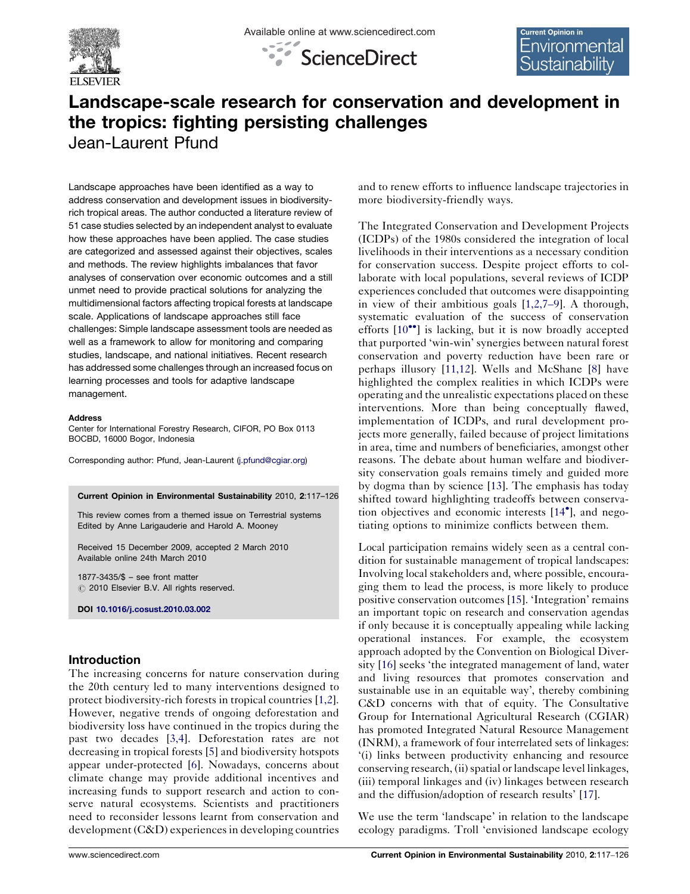





# Landscape-scale research for conservation and development in the tropics: fighting persisting challenges Jean-Laurent Pfund

Landscape approaches have been identified as a way to address conservation and development issues in biodiversityrich tropical areas. The author conducted a literature review of 51 case studies selected by an independent analyst to evaluate how these approaches have been applied. The case studies are categorized and assessed against their objectives, scales and methods. The review highlights imbalances that favor analyses of conservation over economic outcomes and a still unmet need to provide practical solutions for analyzing the multidimensional factors affecting tropical forests at landscape scale. Applications of landscape approaches still face challenges: Simple landscape assessment tools are needed as well as a framework to allow for monitoring and comparing studies, landscape, and national initiatives. Recent research has addressed some challenges through an increased focus on learning processes and tools for adaptive landscape management.

#### **Address**

Center for International Forestry Research, CIFOR, PO Box 0113 BOCBD, 16000 Bogor, Indonesia

Corresponding author: Pfund, Jean-Laurent [\(j.pfund@cgiar.org](mailto:j.pfund@cgiar.org))

#### Current Opinion in Environmental Sustainability 2010, 2:117–126

This review comes from a themed issue on Terrestrial systems Edited by Anne Larigauderie and Harold A. Mooney

Received 15 December 2009, accepted 2 March 2010 Available online 24th March 2010

1877-3435/\$ – see front matter  $\circled{c}$  2010 Elsevier B.V. All rights reserved.

DOI [10.1016/j.cosust.2010.03.002](http://dx.doi.org/10.1016/j.cosust.2010.03.002)

## Introduction

The increasing concerns for nature conservation during the 20th century led to many interventions designed to protect biodiversity-rich forests in tropical countries [[1,2](#page-7-0)]. However, negative trends of ongoing deforestation and biodiversity loss have continued in the tropics during the past two decades [\[3,4\]](#page-7-0). Deforestation rates are not decreasing in tropical forests [[5\]](#page-7-0) and biodiversity hotspots appear under-protected [[6\]](#page-7-0). Nowadays, concerns about climate change may provide additional incentives and increasing funds to support research and action to conserve natural ecosystems. Scientists and practitioners need to reconsider lessons learnt from conservation and development (C&D) experiences in developing countries

and to renew efforts to influence landscape trajectories in more biodiversity-friendly ways.

The Integrated Conservation and Development Projects (ICDPs) of the 1980s considered the integration of local livelihoods in their interventions as a necessary condition for conservation success. Despite project efforts to collaborate with local populations, several reviews of ICDP experiences concluded that outcomes were disappointing in view of their ambitious goals [[1,2,7](#page-7-0)–9]. A thorough, systematic evaluation of the success of conservation efforts  $[10\bullet]$  $[10\bullet]$  $[10\bullet]$  is lacking, but it is now broadly accepted that purported 'win-win' synergies between natural forest conservation and poverty reduction have been rare or perhaps illusory [\[11,12\]](#page-7-0). Wells and McShane [\[8](#page-7-0)] have highlighted the complex realities in which ICDPs were operating and the unrealistic expectations placed on these interventions. More than being conceptually flawed, implementation of ICDPs, and rural development projects more generally, failed because of project limitations in area, time and numbers of beneficiaries, amongst other reasons. The debate about human welfare and biodiversity conservation goals remains timely and guided more by dogma than by science [[13\]](#page-7-0). The emphasis has today shifted toward highlighting tradeoffs between conserva-tion objectives and economic interests [[14](#page-8-0)<sup>°</sup>], and negotiating options to minimize conflicts between them.

Local participation remains widely seen as a central condition for sustainable management of tropical landscapes: Involving local stakeholders and, where possible, encouraging them to lead the process, is more likely to produce positive conservation outcomes [\[15](#page-8-0)]. 'Integration' remains an important topic on research and conservation agendas if only because it is conceptually appealing while lacking operational instances. For example, the ecosystem approach adopted by the Convention on Biological Diversity [[16\]](#page-8-0) seeks 'the integrated management of land, water and living resources that promotes conservation and sustainable use in an equitable way', thereby combining C&D concerns with that of equity. The Consultative Group for International Agricultural Research (CGIAR) has promoted Integrated Natural Resource Management (INRM), a framework of four interrelated sets of linkages: '(i) links between productivity enhancing and resource conserving research, (ii) spatial or landscape level linkages, (iii) temporal linkages and (iv) linkages between research and the diffusion/adoption of research results' [\[17](#page-8-0)].

We use the term 'landscape' in relation to the landscape ecology paradigms. Troll 'envisioned landscape ecology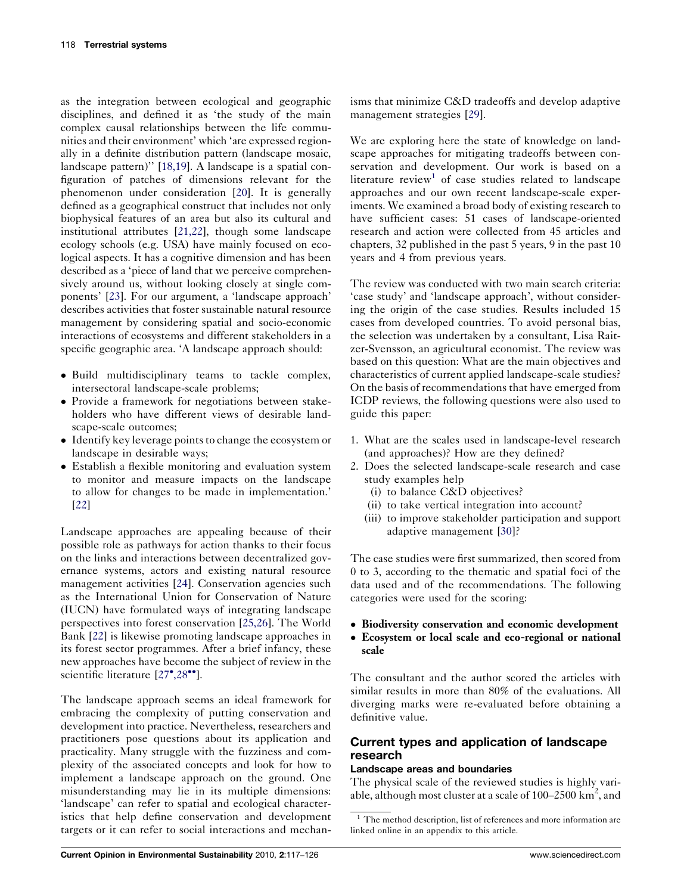as the integration between ecological and geographic disciplines, and defined it as 'the study of the main complex causal relationships between the life communities and their environment' which 'are expressed regionally in a definite distribution pattern (landscape mosaic, landscape pattern)'' [\[18,19\]](#page-8-0). A landscape is a spatial configuration of patches of dimensions relevant for the phenomenon under consideration [[20](#page-8-0)]. It is generally defined as a geographical construct that includes not only biophysical features of an area but also its cultural and institutional attributes [[21,22\]](#page-8-0), though some landscape ecology schools (e.g. USA) have mainly focused on ecological aspects. It has a cognitive dimension and has been described as a 'piece of land that we perceive comprehensively around us, without looking closely at single components' [[23\]](#page-8-0). For our argument, a 'landscape approach' describes activities that foster sustainable natural resource management by considering spatial and socio-economic interactions of ecosystems and different stakeholders in a specific geographic area. 'A landscape approach should:

- $\bullet$  Build multidisciplinary teams to tackle complex, intersectoral landscape-scale problems;
- ! Provide a framework for negotiations between stakeholders who have different views of desirable landscape-scale outcomes;
- ! Identify key leverage points to change the ecosystem or landscape in desirable ways;
- Establish a flexible monitoring and evaluation system to monitor and measure impacts on the landscape to allow for changes to be made in implementation.' [\[22](#page-8-0)]

Landscape approaches are appealing because of their possible role as pathways for action thanks to their focus on the links and interactions between decentralized governance systems, actors and existing natural resource management activities [[24\]](#page-8-0). Conservation agencies such as the International Union for Conservation of Nature (IUCN) have formulated ways of integrating landscape perspectives into forest conservation [\[25,26\]](#page-8-0). The World Bank [\[22](#page-8-0)] is likewise promoting landscape approaches in its forest sector programmes. After a brief infancy, these new approaches have become the subject of review in the scientific literature [\[27](#page-8-0)<sup>•</sup>[,28](#page-8-0)<sup>••</sup>].

The landscape approach seems an ideal framework for embracing the complexity of putting conservation and development into practice. Nevertheless, researchers and practitioners pose questions about its application and practicality. Many struggle with the fuzziness and complexity of the associated concepts and look for how to implement a landscape approach on the ground. One misunderstanding may lie in its multiple dimensions: 'landscape' can refer to spatial and ecological characteristics that help define conservation and development targets or it can refer to social interactions and mechanisms that minimize C&D tradeoffs and develop adaptive management strategies [[29\]](#page-8-0).

We are exploring here the state of knowledge on landscape approaches for mitigating tradeoffs between conservation and development. Our work is based on a literature review<sup>1</sup> of case studies related to landscape approaches and our own recent landscape-scale experiments. We examined a broad body of existing research to have sufficient cases: 51 cases of landscape-oriented research and action were collected from 45 articles and chapters, 32 published in the past 5 years, 9 in the past 10 years and 4 from previous years.

The review was conducted with two main search criteria: 'case study' and 'landscape approach', without considering the origin of the case studies. Results included 15 cases from developed countries. To avoid personal bias, the selection was undertaken by a consultant, Lisa Raitzer-Svensson, an agricultural economist. The review was based on this question: What are the main objectives and characteristics of current applied landscape-scale studies? On the basis of recommendations that have emerged from ICDP reviews, the following questions were also used to guide this paper:

- 1. What are the scales used in landscape-level research (and approaches)? How are they defined?
- 2. Does the selected landscape-scale research and case study examples help
	- (i) to balance C&D objectives?
	- (ii) to take vertical integration into account?
	- (iii) to improve stakeholder participation and support adaptive management [[30\]](#page-8-0)?

The case studies were first summarized, then scored from 0 to 3, according to the thematic and spatial foci of the data used and of the recommendations. The following categories were used for the scoring:

- Biodiversity conservation and economic development
- ! Ecosystem or local scale and eco-regional or national scale

The consultant and the author scored the articles with similar results in more than 80% of the evaluations. All diverging marks were re-evaluated before obtaining a definitive value.

## Current types and application of landscape research

## Landscape areas and boundaries

The physical scale of the reviewed studies is highly variable, although most cluster at a scale of  $100-2500$  km<sup>2</sup>, and

 $1$  The method description, list of references and more information are linked online in an appendix to this article.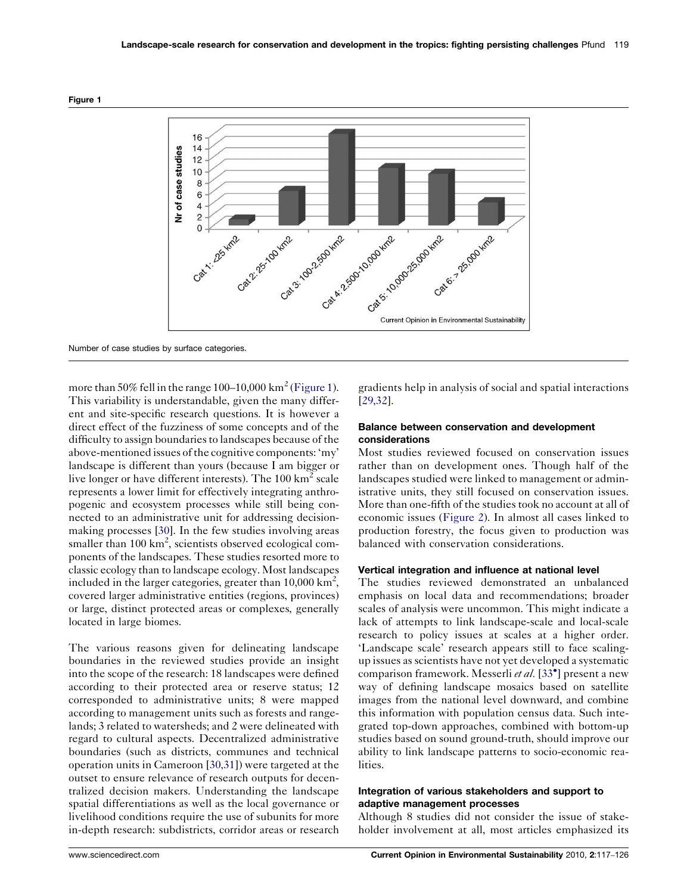

Number of case studies by surface categories.

more than 50% fell in the range 100–10,000 km<sup>2</sup> (Figure 1). This variability is understandable, given the many different and site-specific research questions. It is however a direct effect of the fuzziness of some concepts and of the difficulty to assign boundaries to landscapes because of the above-mentioned issues of the cognitive components: 'my' landscape is different than yours (because I am bigger or live longer or have different interests). The  $100 \text{ km}^2$  scale represents a lower limit for effectively integrating anthropogenic and ecosystem processes while still being connected to an administrative unit for addressing decisionmaking processes [[30](#page-8-0)]. In the few studies involving areas smaller than  $100 \text{ km}^2$ , scientists observed ecological components of the landscapes. These studies resorted more to classic ecology than to landscape ecology. Most landscapes included in the larger categories, greater than  $10,000 \text{ km}^2$ , covered larger administrative entities (regions, provinces) or large, distinct protected areas or complexes, generally located in large biomes.

The various reasons given for delineating landscape boundaries in the reviewed studies provide an insight into the scope of the research: 18 landscapes were defined according to their protected area or reserve status; 12 corresponded to administrative units; 8 were mapped according to management units such as forests and rangelands; 3 related to watersheds; and 2 were delineated with regard to cultural aspects. Decentralized administrative boundaries (such as districts, communes and technical operation units in Cameroon [\[30,31\]](#page-8-0)) were targeted at the outset to ensure relevance of research outputs for decentralized decision makers. Understanding the landscape spatial differentiations as well as the local governance or livelihood conditions require the use of subunits for more in-depth research: subdistricts, corridor areas or research

gradients help in analysis of social and spatial interactions [[29,32\]](#page-8-0).

## Balance between conservation and development considerations

Most studies reviewed focused on conservation issues rather than on development ones. Though half of the landscapes studied were linked to management or administrative units, they still focused on conservation issues. More than one-fifth of the studies took no account at all of economic issues [\(Figure 2\)](#page-3-0). In almost all cases linked to production forestry, the focus given to production was balanced with conservation considerations.

#### Vertical integration and influence at national level

The studies reviewed demonstrated an unbalanced emphasis on local data and recommendations; broader scales of analysis were uncommon. This might indicate a lack of attempts to link landscape-scale and local-scale research to policy issues at scales at a higher order. 'Landscape scale' research appears still to face scalingup issues as scientists have not yet developed a systematic comparison framework. Messerli et al. [\[33](#page-8-0)<sup>\*</sup>] present a new way of defining landscape mosaics based on satellite images from the national level downward, and combine this information with population census data. Such integrated top-down approaches, combined with bottom-up studies based on sound ground-truth, should improve our ability to link landscape patterns to socio-economic realities.

### Integration of various stakeholders and support to adaptive management processes

Although 8 studies did not consider the issue of stakeholder involvement at all, most articles emphasized its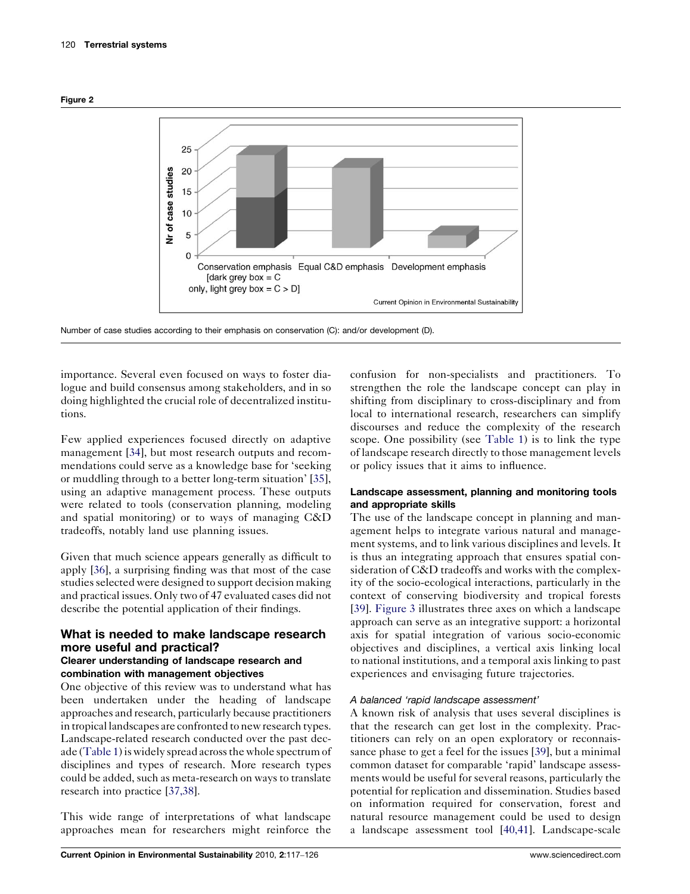<span id="page-3-0"></span>



Number of case studies according to their emphasis on conservation (C): and/or development (D).

importance. Several even focused on ways to foster dialogue and build consensus among stakeholders, and in so doing highlighted the crucial role of decentralized institutions.

Few applied experiences focused directly on adaptive management [[34\]](#page-8-0), but most research outputs and recommendations could serve as a knowledge base for 'seeking or muddling through to a better long-term situation' [\[35](#page-8-0)], using an adaptive management process. These outputs were related to tools (conservation planning, modeling and spatial monitoring) or to ways of managing C&D tradeoffs, notably land use planning issues.

Given that much science appears generally as difficult to apply [\[36](#page-8-0)], a surprising finding was that most of the case studies selected were designed to support decision making and practical issues. Only two of 47 evaluated cases did not describe the potential application of their findings.

## What is needed to make landscape research more useful and practical? Clearer understanding of landscape research and

# combination with management objectives

One objective of this review was to understand what has been undertaken under the heading of landscape approaches and research, particularly because practitioners in tropical landscapes are confronted to new research types. Landscape-related research conducted over the past decade ([Table 1](#page-4-0)) is widely spread across the whole spectrum of disciplines and types of research. More research types could be added, such as meta-research on ways to translate research into practice [[37,38](#page-8-0)].

This wide range of interpretations of what landscape approaches mean for researchers might reinforce the confusion for non-specialists and practitioners. To strengthen the role the landscape concept can play in shifting from disciplinary to cross-disciplinary and from local to international research, researchers can simplify discourses and reduce the complexity of the research scope. One possibility (see [Table 1](#page-4-0)) is to link the type of landscape research directly to those management levels or policy issues that it aims to influence.

## Landscape assessment, planning and monitoring tools and appropriate skills

The use of the landscape concept in planning and management helps to integrate various natural and management systems, and to link various disciplines and levels. It is thus an integrating approach that ensures spatial consideration of C&D tradeoffs and works with the complexity of the socio-ecological interactions, particularly in the context of conserving biodiversity and tropical forests [\[39](#page-8-0)]. [Figure 3](#page-5-0) illustrates three axes on which a landscape approach can serve as an integrative support: a horizontal axis for spatial integration of various socio-economic objectives and disciplines, a vertical axis linking local to national institutions, and a temporal axis linking to past experiences and envisaging future trajectories.

## A balanced 'rapid landscape assessment'

A known risk of analysis that uses several disciplines is that the research can get lost in the complexity. Practitioners can rely on an open exploratory or reconnaissance phase to get a feel for the issues [[39\]](#page-8-0), but a minimal common dataset for comparable 'rapid' landscape assessments would be useful for several reasons, particularly the potential for replication and dissemination. Studies based on information required for conservation, forest and natural resource management could be used to design a landscape assessment tool [\[40,41\]](#page-8-0). Landscape-scale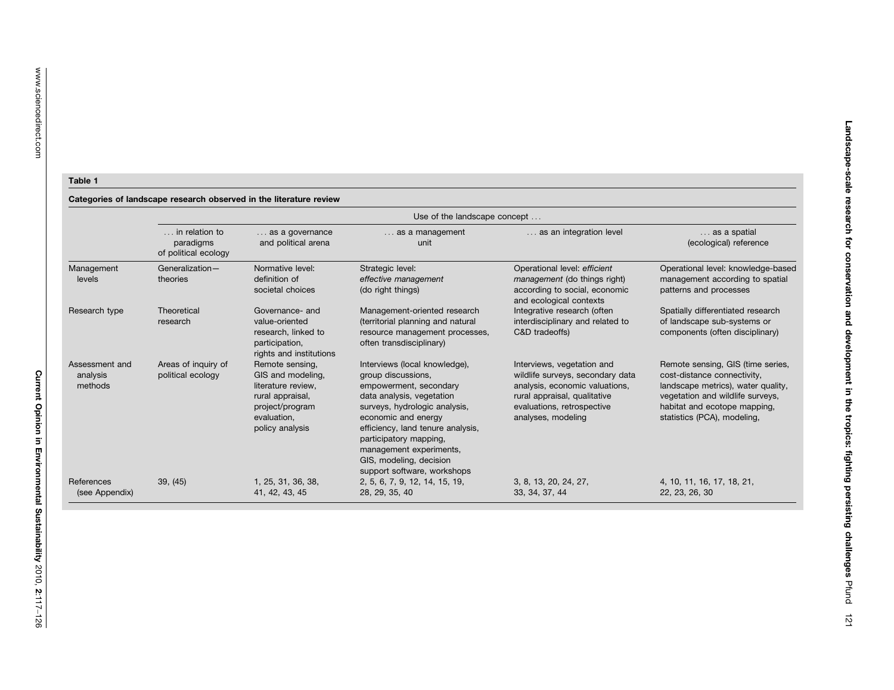#### <span id="page-4-0"></span>Table 1

### Categories of landscape research observed in the literature review

|                                       | Use of the landscape concept                        |                                                                                                                                     |                                                                                                                                                                                                                                                                                                                        |                                                                                                                                                                                      |                                                                                                                                                                                                           |
|---------------------------------------|-----------------------------------------------------|-------------------------------------------------------------------------------------------------------------------------------------|------------------------------------------------------------------------------------------------------------------------------------------------------------------------------------------------------------------------------------------------------------------------------------------------------------------------|--------------------------------------------------------------------------------------------------------------------------------------------------------------------------------------|-----------------------------------------------------------------------------------------------------------------------------------------------------------------------------------------------------------|
|                                       | in relation to<br>paradigms<br>of political ecology | as a governance<br>and political arena                                                                                              | as a management<br>unit                                                                                                                                                                                                                                                                                                | as an integration level                                                                                                                                                              | as a spatial<br>(ecological) reference                                                                                                                                                                    |
| Management<br>levels                  | Generalization-<br>theories                         | Normative level:<br>definition of<br>societal choices                                                                               | Strategic level:<br>effective management<br>(do right things)                                                                                                                                                                                                                                                          | Operational level: efficient<br>management (do things right)<br>according to social, economic<br>and ecological contexts                                                             | Operational level: knowledge-based<br>management according to spatial<br>patterns and processes                                                                                                           |
| Research type                         | Theoretical<br>research                             | Governance- and<br>value-oriented<br>research. linked to<br>participation,<br>rights and institutions                               | Management-oriented research<br>(territorial planning and natural<br>resource management processes,<br>often transdisciplinary)                                                                                                                                                                                        | Integrative research (often<br>interdisciplinary and related to<br>C&D tradeoffs)                                                                                                    | Spatially differentiated research<br>of landscape sub-systems or<br>components (often disciplinary)                                                                                                       |
| Assessment and<br>analysis<br>methods | Areas of inquiry of<br>political ecology            | Remote sensing,<br>GIS and modeling,<br>literature review,<br>rural appraisal,<br>project/program<br>evaluation,<br>policy analysis | Interviews (local knowledge),<br>group discussions,<br>empowerment, secondary<br>data analysis, vegetation<br>surveys, hydrologic analysis,<br>economic and energy<br>efficiency, land tenure analysis,<br>participatory mapping,<br>management experiments,<br>GIS, modeling, decision<br>support software, workshops | Interviews, vegetation and<br>wildlife surveys, secondary data<br>analysis, economic valuations,<br>rural appraisal, qualitative<br>evaluations, retrospective<br>analyses, modeling | Remote sensing, GIS (time series,<br>cost-distance connectivity,<br>landscape metrics), water quality,<br>vegetation and wildlife surveys,<br>habitat and ecotope mapping,<br>statistics (PCA), modeling, |
| References<br>(see Appendix)          | 39, (45)                                            | 1, 25, 31, 36, 38,<br>41, 42, 43, 45                                                                                                | 2, 5, 6, 7, 9, 12, 14, 15, 19,<br>28, 29, 35, 40                                                                                                                                                                                                                                                                       | 3, 8, 13, 20, 24, 27,<br>33, 34, 37, 44                                                                                                                                              | 4, 10, 11, 16, 17, 18, 21,<br>22, 23, 26, 30                                                                                                                                                              |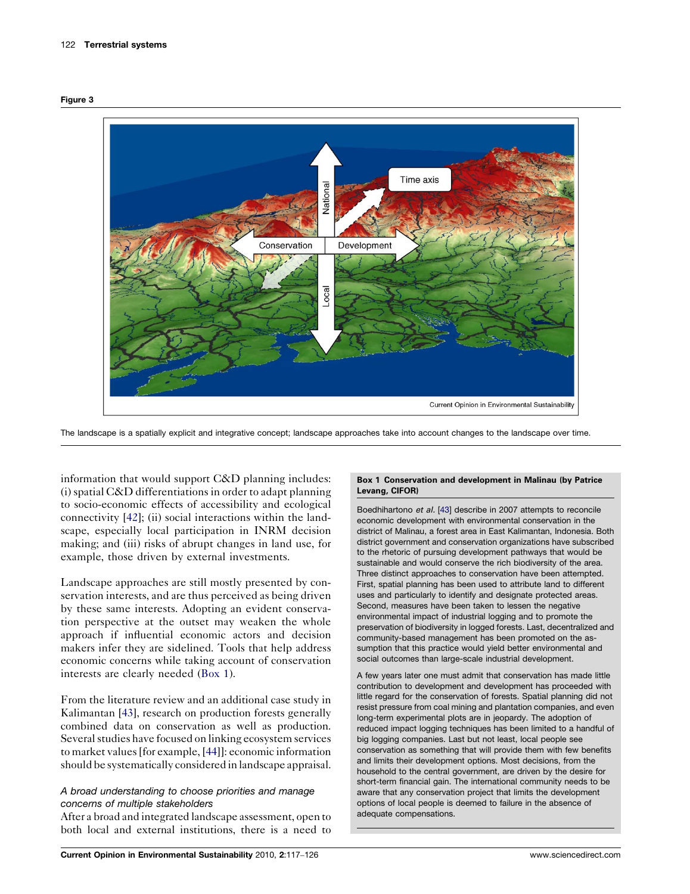<span id="page-5-0"></span>



The landscape is a spatially explicit and integrative concept; landscape approaches take into account changes to the landscape over time.

information that would support C&D planning includes: (i) spatial C&D differentiations in order to adapt planning to socio-economic effects of accessibility and ecological connectivity [\[42](#page-8-0)]; (ii) social interactions within the landscape, especially local participation in INRM decision making; and (iii) risks of abrupt changes in land use, for example, those driven by external investments.

Landscape approaches are still mostly presented by conservation interests, and are thus perceived as being driven by these same interests. Adopting an evident conservation perspective at the outset may weaken the whole approach if influential economic actors and decision makers infer they are sidelined. Tools that help address economic concerns while taking account of conservation interests are clearly needed (Box 1).

From the literature review and an additional case study in Kalimantan [\[43](#page-8-0)], research on production forests generally combined data on conservation as well as production. Several studies have focused on linking ecosystem services to market values [for example, [[44\]](#page-8-0)]: economic information should be systematically considered in landscape appraisal.

## A broad understanding to choose priorities and manage concerns of multiple stakeholders

After a broad and integrated landscape assessment, open to both local and external institutions, there is a need to

#### Box 1 Conservation and development in Malinau (by Patrice Levang, CIFOR)

Boedhihartono et al. [[43](#page-8-0)] describe in 2007 attempts to reconcile economic development with environmental conservation in the district of Malinau, a forest area in East Kalimantan, Indonesia. Both district government and conservation organizations have subscribed to the rhetoric of pursuing development pathways that would be sustainable and would conserve the rich biodiversity of the area. Three distinct approaches to conservation have been attempted. First, spatial planning has been used to attribute land to different uses and particularly to identify and designate protected areas. Second, measures have been taken to lessen the negative environmental impact of industrial logging and to promote the preservation of biodiversity in logged forests. Last, decentralized and community-based management has been promoted on the assumption that this practice would yield better environmental and social outcomes than large-scale industrial development.

A few years later one must admit that conservation has made little contribution to development and development has proceeded with little regard for the conservation of forests. Spatial planning did not resist pressure from coal mining and plantation companies, and even long-term experimental plots are in jeopardy. The adoption of reduced impact logging techniques has been limited to a handful of big logging companies. Last but not least, local people see conservation as something that will provide them with few benefits and limits their development options. Most decisions, from the household to the central government, are driven by the desire for short-term financial gain. The international community needs to be aware that any conservation project that limits the development options of local people is deemed to failure in the absence of adequate compensations.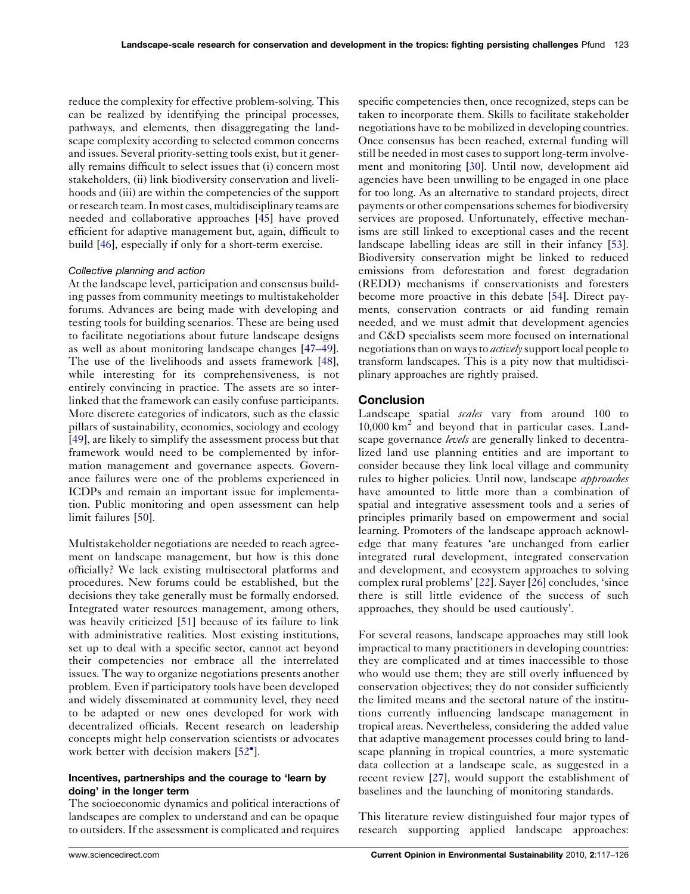reduce the complexity for effective problem-solving. This can be realized by identifying the principal processes, pathways, and elements, then disaggregating the landscape complexity according to selected common concerns and issues. Several priority-setting tools exist, but it generally remains difficult to select issues that (i) concern most stakeholders, (ii) link biodiversity conservation and livelihoods and (iii) are within the competencies of the support or research team. In most cases, multidisciplinary teams are needed and collaborative approaches [[45\]](#page-8-0) have proved efficient for adaptive management but, again, difficult to build [\[46\]](#page-9-0), especially if only for a short-term exercise.

#### Collective planning and action

At the landscape level, participation and consensus building passes from community meetings to multistakeholder forums. Advances are being made with developing and testing tools for building scenarios. These are being used to facilitate negotiations about future landscape designs as well as about monitoring landscape changes [\[47](#page-9-0)–49]. The use of the livelihoods and assets framework [\[48](#page-9-0)], while interesting for its comprehensiveness, is not entirely convincing in practice. The assets are so interlinked that the framework can easily confuse participants. More discrete categories of indicators, such as the classic pillars of sustainability, economics, sociology and ecology [\[49](#page-9-0)], are likely to simplify the assessment process but that framework would need to be complemented by information management and governance aspects. Governance failures were one of the problems experienced in ICDPs and remain an important issue for implementation. Public monitoring and open assessment can help limit failures [\[50](#page-9-0)].

Multistakeholder negotiations are needed to reach agreement on landscape management, but how is this done officially? We lack existing multisectoral platforms and procedures. New forums could be established, but the decisions they take generally must be formally endorsed. Integrated water resources management, among others, was heavily criticized [[51\]](#page-9-0) because of its failure to link with administrative realities. Most existing institutions, set up to deal with a specific sector, cannot act beyond their competencies nor embrace all the interrelated issues. The way to organize negotiations presents another problem. Even if participatory tools have been developed and widely disseminated at community level, they need to be adapted or new ones developed for work with decentralized officials. Recent research on leadership concepts might help conservation scientists or advocates work better with decision makers  $[52^{\bullet}]$  $[52^{\bullet}]$  $[52^{\bullet}]$ .

## Incentives, partnerships and the courage to 'learn by doing' in the longer term

The socioeconomic dynamics and political interactions of landscapes are complex to understand and can be opaque to outsiders. If the assessment is complicated and requires

specific competencies then, once recognized, steps can be taken to incorporate them. Skills to facilitate stakeholder negotiations have to be mobilized in developing countries. Once consensus has been reached, external funding will still be needed in most cases to support long-term involvement and monitoring [[30\]](#page-8-0). Until now, development aid agencies have been unwilling to be engaged in one place for too long. As an alternative to standard projects, direct payments or other compensations schemes for biodiversity services are proposed. Unfortunately, effective mechanisms are still linked to exceptional cases and the recent landscape labelling ideas are still in their infancy [[53\]](#page-9-0). Biodiversity conservation might be linked to reduced emissions from deforestation and forest degradation (REDD) mechanisms if conservationists and foresters become more proactive in this debate [[54\]](#page-9-0). Direct payments, conservation contracts or aid funding remain needed, and we must admit that development agencies and C&D specialists seem more focused on international negotiations than on ways to *actively* support local people to transform landscapes. This is a pity now that multidisciplinary approaches are rightly praised.

### Conclusion

Landscape spatial *scales* vary from around 100 to  $10,000$  km<sup>2</sup> and beyond that in particular cases. Landscape governance *levels* are generally linked to decentralized land use planning entities and are important to consider because they link local village and community rules to higher policies. Until now, landscape *approaches* have amounted to little more than a combination of spatial and integrative assessment tools and a series of principles primarily based on empowerment and social learning. Promoters of the landscape approach acknowledge that many features 'are unchanged from earlier integrated rural development, integrated conservation and development, and ecosystem approaches to solving complex rural problems' [\[22](#page-8-0)]. Sayer [[26\]](#page-8-0) concludes, 'since there is still little evidence of the success of such approaches, they should be used cautiously'.

For several reasons, landscape approaches may still look impractical to many practitioners in developing countries: they are complicated and at times inaccessible to those who would use them; they are still overly influenced by conservation objectives; they do not consider sufficiently the limited means and the sectoral nature of the institutions currently influencing landscape management in tropical areas. Nevertheless, considering the added value that adaptive management processes could bring to landscape planning in tropical countries, a more systematic data collection at a landscape scale, as suggested in a recent review [\[27](#page-8-0)], would support the establishment of baselines and the launching of monitoring standards.

This literature review distinguished four major types of research supporting applied landscape approaches: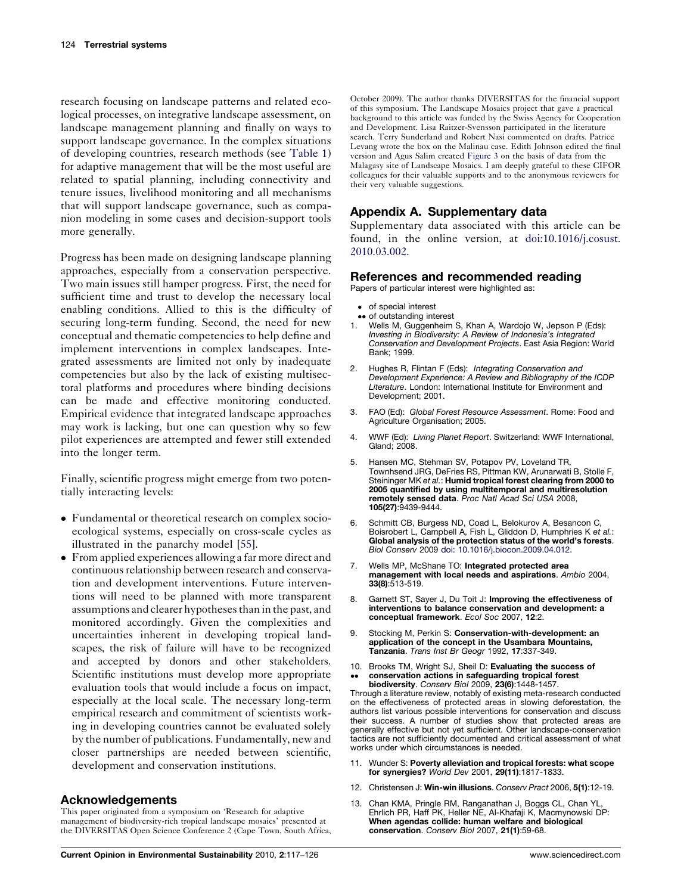<span id="page-7-0"></span>research focusing on landscape patterns and related ecological processes, on integrative landscape assessment, on landscape management planning and finally on ways to support landscape governance. In the complex situations of developing countries, research methods (see [Table 1\)](#page-4-0) for adaptive management that will be the most useful are related to spatial planning, including connectivity and tenure issues, livelihood monitoring and all mechanisms that will support landscape governance, such as companion modeling in some cases and decision-support tools more generally.

Progress has been made on designing landscape planning approaches, especially from a conservation perspective. Two main issues still hamper progress. First, the need for sufficient time and trust to develop the necessary local enabling conditions. Allied to this is the difficulty of securing long-term funding. Second, the need for new conceptual and thematic competencies to help define and implement interventions in complex landscapes. Integrated assessments are limited not only by inadequate competencies but also by the lack of existing multisectoral platforms and procedures where binding decisions can be made and effective monitoring conducted. Empirical evidence that integrated landscape approaches may work is lacking, but one can question why so few pilot experiences are attempted and fewer still extended into the longer term.

Finally, scientific progress might emerge from two potentially interacting levels:

- Fundamental or theoretical research on complex socioecological systems, especially on cross-scale cycles as illustrated in the panarchy model [[55\]](#page-9-0).
- From applied experiences allowing a far more direct and continuous relationship between research and conservation and development interventions. Future interventions will need to be planned with more transparent assumptions and clearer hypotheses than in the past, and monitored accordingly. Given the complexities and uncertainties inherent in developing tropical landscapes, the risk of failure will have to be recognized and accepted by donors and other stakeholders. Scientific institutions must develop more appropriate evaluation tools that would include a focus on impact, especially at the local scale. The necessary long-term empirical research and commitment of scientists working in developing countries cannot be evaluated solely by the number of publications. Fundamentally, new and closer partnerships are needed between scientific, development and conservation institutions.

#### Acknowledgements

This paper originated from a symposium on 'Research for adaptive management of biodiversity-rich tropical landscape mosaics' presented at the DIVERSITAS Open Science Conference 2 (Cape Town, South Africa, October 2009). The author thanks DIVERSITAS for the financial support of this symposium. The Landscape Mosaics project that gave a practical background to this article was funded by the Swiss Agency for Cooperation and Development. Lisa Raitzer-Svensson participated in the literature search. Terry Sunderland and Robert Nasi commented on drafts. Patrice Levang wrote the box on the Malinau case. Edith Johnson edited the final version and Agus Salim created [Figure 3](#page-5-0) on the basis of data from the Malagasy site of Landscape Mosaics. I am deeply grateful to these CIFOR colleagues for their valuable supports and to the anonymous reviewers for their very valuable suggestions.

## Appendix A. Supplementary data

Supplementary data associated with this article can be found, in the online version, at [doi:10.1016/j.cosust.](http://dx.doi.org/10.1016/j.cosust.2010.03.002) [2010.03.002](http://dx.doi.org/10.1016/j.cosust.2010.03.002).

## References and recommended reading

Papers of particular interest were highlighted as:

- of special interest •• of outstanding interest
- 1. Wells M, Guggenheim S, Khan A, Wardojo W, Jepson P (Eds): Investing in Biodiversity: A Review of Indonesia's Integrated Conservation and Development Projects. East Asia Region: World Bank; 1999.
- 2. Hughes R, Flintan F (Eds): Integrating Conservation and Development Experience: A Review and Bibliography of the ICDP Literature. London: International Institute for Environment and Development; 2001.
- 3. FAO (Ed): Global Forest Resource Assessment. Rome: Food and Agriculture Organisation; 2005.
- 4. WWF (Ed): Living Planet Report. Switzerland: WWF International, Gland; 2008.
- 5. Hansen MC, Stehman SV, Potapov PV, Loveland TR, Townhsend JRG, DeFries RS, Pittman KW, Arunarwati B, Stolle F, Steininger MK et al.: Humid tropical forest clearing from 2000 to 2005 quantified by using multitemporal and multiresolution remotely sensed data. Proc Natl Acad Sci USA 2008, 105(27):9439-9444.
- 6. Schmitt CB, Burgess ND, Coad L, Belokurov A, Besancon C, Boisrobert L, Campbell A, Fish L, Gliddon D, Humphries K et al.: Global analysis of the protection status of the world's forests. Biol Conserv 2009 [doi: 10.1016/j.biocon.2009.04.012](http://dx.doi.org/10.1016/j.biocon.2009.04.012).
- 7. Wells MP, McShane TO: Integrated protected area management with local needs and aspirations. Ambio 2004, 33(8):513-519.
- 8. Garnett ST, Sayer J, Du Toit J: Improving the effectiveness of interventions to balance conservation and development: a conceptual framework. Ecol Soc 2007, 12:2.
- 9. Stocking M, Perkin S: Conservation-with-development: an application of the concept in the Usambara Mountains, Tanzania. Trans Inst Br Geogr 1992, 17:337-349.
- 10. Brooks TM, Wright SJ, Sheil D: Evaluating the success of <u>..</u> conservation actions in safeguarding tropical forest biodiversity. Conserv Biol 2009, 23(6):1448-1457.

Through a literature review, notably of existing meta-research conducted on the effectiveness of protected areas in slowing deforestation, the authors list various possible interventions for conservation and discuss their success. A number of studies show that protected areas are generally effective but not yet sufficient. Other landscape-conservation tactics are not sufficiently documented and critical assessment of what works under which circumstances is needed.

- 11. Wunder S: Poverty alleviation and tropical forests: what scope for synergies? World Dev 2001, 29(11):1817-1833.
- 12. Christensen J: Win-win illusions. Conserv Pract 2006, 5(1):12-19.
- 13. Chan KMA, Pringle RM, Ranganathan J, Boggs CL, Chan YL, Ehrlich PR, Haff PK, Heller NE, Al-Khafaji K, Macmynowski DP: When agendas collide: human welfare and biological conservation. Conserv Biol 2007, 21(1):59-68.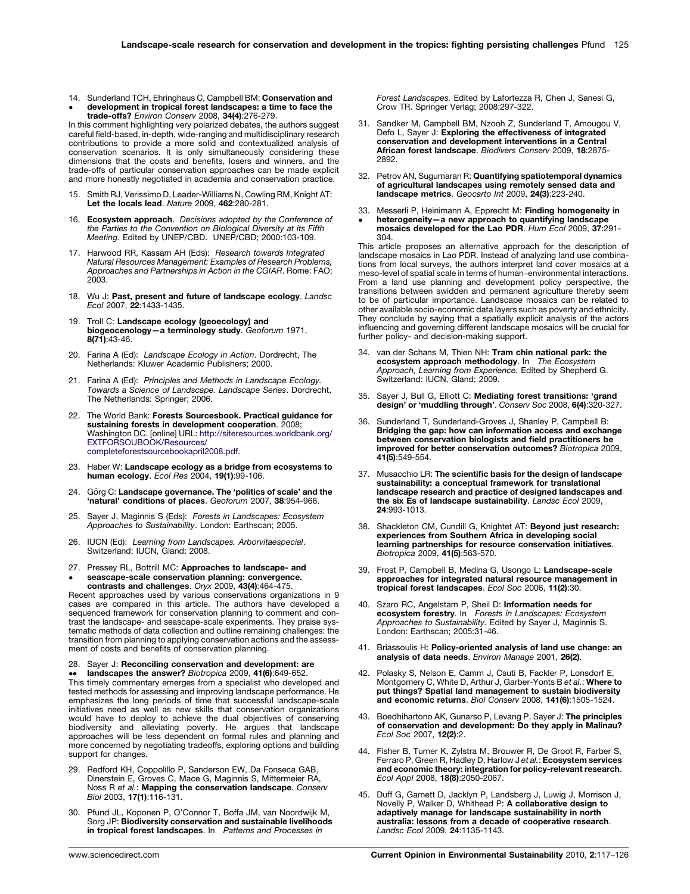#### <span id="page-8-0"></span>14. Sunderland TCH, Ehringhaus C, Campbell BM: Conservation and  $^{\bullet}$ development in tropical forest landscapes: a time to face the trade-offs? Environ Conserv 2008, 34(4):276-279.

In this comment highlighting very polarized debates, the authors suggest careful field-based, in-depth, wide-ranging and multidisciplinary research contributions to provide a more solid and contextualized analysis of conservation scenarios. It is only simultaneously considering these dimensions that the costs and benefits, losers and winners, and the trade-offs of particular conservation approaches can be made explicit and more honestly negotiated in academia and conservation practice.

- 15. Smith RJ, Verissimo D, Leader-Williams N, Cowling RM, Knight AT: Let the locals lead. Nature 2009, 462:280-281.
- 16. Ecosystem approach. Decisions adopted by the Conference of the Parties to the Convention on Biological Diversity at its Fifth Meeting. Edited by UNEP/CBD. UNEP/CBD; 2000:103-109.
- 17. Harwood RR, Kassam AH (Eds): Research towards Integrated Natural Resources Management: Examples of Research Problems, Approaches and Partnerships in Action in the CGIAR. Rome: FAO; 2003.
- 18. Wu J: Past, present and future of landscape ecology. Landsc Ecol 2007, 22:1433-1435.
- 19. Troll C: Landscape ecology (geoecology) and biogeocenology—a terminology study. Geoforum 1971, 8(71):43-46.
- 20. Farina A (Ed): Landscape Ecology in Action. Dordrecht, The Netherlands: Kluwer Academic Publishers; 2000.
- 21. Farina A (Ed): Principles and Methods in Landscape Ecology. Towards a Science of Landscape. Landscape Series. Dordrecht, The Netherlands: Springer; 2006.
- 22. The World Bank: Forests Sourcesbook. Practical guidance for sustaining forests in development cooperation. 2008; Washington DC. [online] URL: [http://siteresources.worldbank.org/](http://siteresources.worldbank.org/EXTFORSOUBOOK/Resources/completeforestsourcebookapril2008.pdf) [EXTFORSOUBOOK/Resources/](http://siteresources.worldbank.org/EXTFORSOUBOOK/Resources/completeforestsourcebookapril2008.pdf) [completeforestsourcebookapril2008.pdf](http://siteresources.worldbank.org/EXTFORSOUBOOK/Resources/completeforestsourcebookapril2008.pdf).
- 23. Haber W: Landscape ecology as a bridge from ecosystems to human ecology. Ecol Res 2004, 19(1):99-106.
- 24. Görg C: Landscape governance. The 'politics of scale' and the 'natural' conditions of places. Geoforum 2007, 38:954-966.
- 25. Sayer J, Maginnis S (Eds): Forests in Landscapes: Ecosystem Approaches to Sustainability. London: Earthscan; 2005.
- 26. IUCN (Ed): Learning from Landscapes. Arborvitaespecial. Switzerland: IUCN, Gland; 2008.
- 27. Pressey RL, Bottrill MC: Approaches to landscape- and  $^{\bullet}$ seascape-scale conservation planning: convergence. contrasts and challenges. Oryx 2009, 43(4):464-475.

Recent approaches used by various conservations organizations in 9 cases are compared in this article. The authors have developed a sequenced framework for conservation planning to comment and contrast the landscape- and seascape-scale experiments. They praise systematic methods of data collection and outline remaining challenges: the transition from planning to applying conservation actions and the assessment of costs and benefits of conservation planning.

#### 28. Sayer J: Reconciling conservation and development: are landscapes the answer? Biotropica 2009, 41(6):649-652.

**•• I landscapes the answer?** *Blotropica 2009*, **4100**:049-052.<br>This timely commentary emerges from a specialist who developed and tested methods for assessing and improving landscape performance. He emphasizes the long periods of time that successful landscape-scale initiatives need as well as new skills that conservation organizations would have to deploy to achieve the dual objectives of conserving biodiversity and alleviating poverty. He argues that landscape approaches will be less dependent on formal rules and planning and more concerned by negotiating tradeoffs, exploring options and building support for changes.

- 29. Redford KH, Coppolillo P, Sanderson EW, Da Fonseca GAB, Dinerstein E, Groves C, Mace G, Maginnis S, Mittermeier RA, Noss R et al.: Mapping the conservation landscape. Conserv Biol 2003, 17(1):116-131.
- 30. Pfund JL, Koponen P, O'Connor T, Boffa JM, van Noordwijk M, Sorg JP: Biodiversity conservation and sustainable livelihoods in tropical forest landscapes. In Patterns and Processes in

Forest Landscapes. Edited by Lafortezza R, Chen J, Sanesi G, Crow TR. Springer Verlag; 2008:297-322.

- 31. Sandker M, Campbell BM, Nzooh Z, Sunderland T, Amougou V, Defo L, Sayer J: Exploring the effectiveness of integrated conservation and development interventions in a Central African forest landscape. Biodivers Conserv 2009, 18:2875- 2892.
- 32. Petrov AN, Sugumaran R: Quantifying spatiotemporal dynamics of agricultural landscapes using remotely sensed data and landscape metrics. Geocarto Int 2009, 24(3):223-240.
- 33. Messerli P, Heinimann A, Epprecht M: Finding homogeneity in **.** heterogeneity—a new approach to quantifying landscape mosaics developed for the Lao PDR. Hum Ecol 2009, 37:291- 304.

This article proposes an alternative approach for the description of landscape mosaics in Lao PDR. Instead of analyzing land use combinations from local surveys, the authors interpret land cover mosaics at a meso-level of spatial scale in terms of human–environmental interactions. From a land use planning and development policy perspective, the transitions between swidden and permanent agriculture thereby seem to be of particular importance. Landscape mosaics can be related to other available socio-economic data layers such as poverty and ethnicity. They conclude by saying that a spatially explicit analysis of the actors influencing and governing different landscape mosaics will be crucial for further policy- and decision-making support.

- 34. van der Schans M, Thien NH: **Tram chin national park: the**<br>**ecosystem approach methodology**. In The Ecosystem Approach, Learning from Experience. Edited by Shepherd G. Switzerland: IUCN, Gland; 2009.
- 35. Sayer J, Bull G, Elliott C: Mediating forest transitions: 'grand design' or 'muddling through'. Conserv Soc 2008, 6(4):320-327.
- 36. Sunderland T, Sunderland-Groves J, Shanley P, Campbell B: Bridging the gap: how can information access and exchange between conservation biologists and field practitioners be improved for better conservation outcomes? Biotropica 2009, 41(5):549-554.
- 37. Musacchio LR: The scientific basis for the design of landscape sustainability: a conceptual framework for translational landscape research and practice of designed landscapes and the six Es of landscape sustainability. Landsc Ecol 2009, 24:993-1013.
- 38. Shackleton CM, Cundill G, Knightet AT: Beyond just research: experiences from Southern Africa in developing social learning partnerships for resource conservation initiatives. Biotropica 2009, 41(5):563-570.
- 39. Frost P, Campbell B, Medina G, Usongo L: Landscape-scale approaches for integrated natural resource management in tropical forest landscapes. Ecol Soc 2006, 11(2):30.
- 40. Szaro RC, Angelstam P, Sheil D: Information needs for ecosystem forestry. In Forests in Landscapes: Ecosystem Approaches to Sustainability. Edited by Sayer J, Maginnis S. London: Earthscan; 2005:31-46.
- 41. Briassoulis H: Policy-oriented analysis of land use change: an analysis of data needs. Environ Manage 2001, 26(2).
- 42. Polasky S, Nelson E, Camm J, Csuti B, Fackler P, Lonsdorf E, Montgomery C, White D, Arthur J, Garber-Yonts B et al.: Where to put things? Spatial land management to sustain biodiversity and economic returns. Biol Conserv 2008, 141(6):1505-1524.
- 43. Boedhihartono AK, Gunarso P, Levang P, Sayer J: The principles of conservation and development: Do they apply in Malinau? Ecol Soc 2007, 12(2):2.
- 44. Fisher B, Turner K, Zylstra M, Brouwer R, De Groot R, Farber S, Ferraro P, Green R, Hadley D, Harlow J et al.: Ecosystem services and economic theory: integration for policy-relevant research. Ecol Appl 2008, 18(8):2050-2067.
- 45. Duff G, Garnett D, Jacklyn P, Landsberg J, Luwig J, Morrison J, Novelly P, Walker D, Whithead P: A collaborative design to adaptively manage for landscape sustainability in north australia: lessons from a decade of cooperative research. Landsc Ecol 2009, 24:1135-1143.